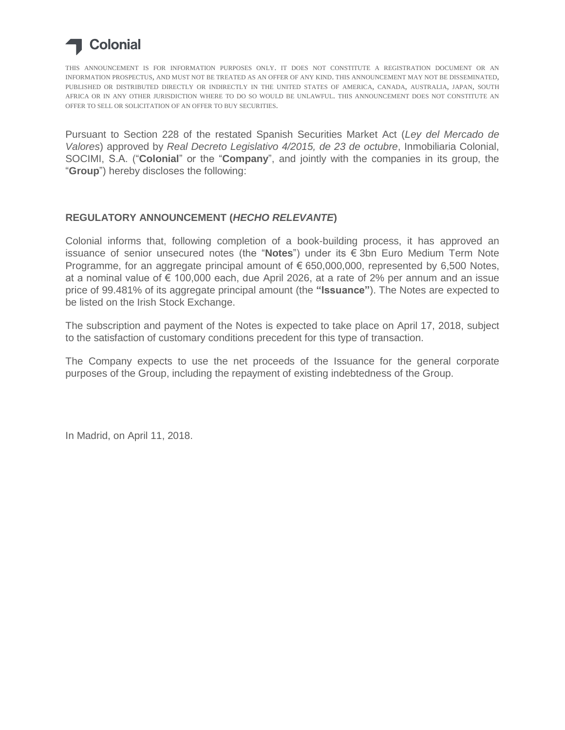

THIS ANNOUNCEMENT IS FOR INFORMATION PURPOSES ONLY. IT DOES NOT CONSTITUTE A REGISTRATION DOCUMENT OR AN INFORMATION PROSPECTUS, AND MUST NOT BE TREATED AS AN OFFER OF ANY KIND. THIS ANNOUNCEMENT MAY NOT BE DISSEMINATED, PUBLISHED OR DISTRIBUTED DIRECTLY OR INDIRECTLY IN THE UNITED STATES OF AMERICA, CANADA, AUSTRALIA, JAPAN, SOUTH AFRICA OR IN ANY OTHER JURISDICTION WHERE TO DO SO WOULD BE UNLAWFUL. THIS ANNOUNCEMENT DOES NOT CONSTITUTE AN OFFER TO SELL OR SOLICITATION OF AN OFFER TO BUY SECURITIES.

Pursuant to Section 228 of the restated Spanish Securities Market Act (*Ley del Mercado de Valores*) approved by *Real Decreto Legislativo 4/2015, de 23 de octubre*, Inmobiliaria Colonial, SOCIMI, S.A. ("**Colonial**" or the "**Company**", and jointly with the companies in its group, the "**Group**") hereby discloses the following:

## **REGULATORY ANNOUNCEMENT (***HECHO RELEVANTE***)**

Colonial informs that, following completion of a book-building process, it has approved an issuance of senior unsecured notes (the "**Notes**") under its € 3bn Euro Medium Term Note Programme, for an aggregate principal amount of  $\epsilon$  650,000,000, represented by 6,500 Notes, at a nominal value of € 100,000 each, due April 2026, at a rate of 2% per annum and an issue price of 99.481% of its aggregate principal amount (the **"Issuance"**). The Notes are expected to be listed on the Irish Stock Exchange.

The subscription and payment of the Notes is expected to take place on April 17, 2018, subject to the satisfaction of customary conditions precedent for this type of transaction.

The Company expects to use the net proceeds of the Issuance for the general corporate purposes of the Group, including the repayment of existing indebtedness of the Group.

In Madrid, on April 11, 2018.